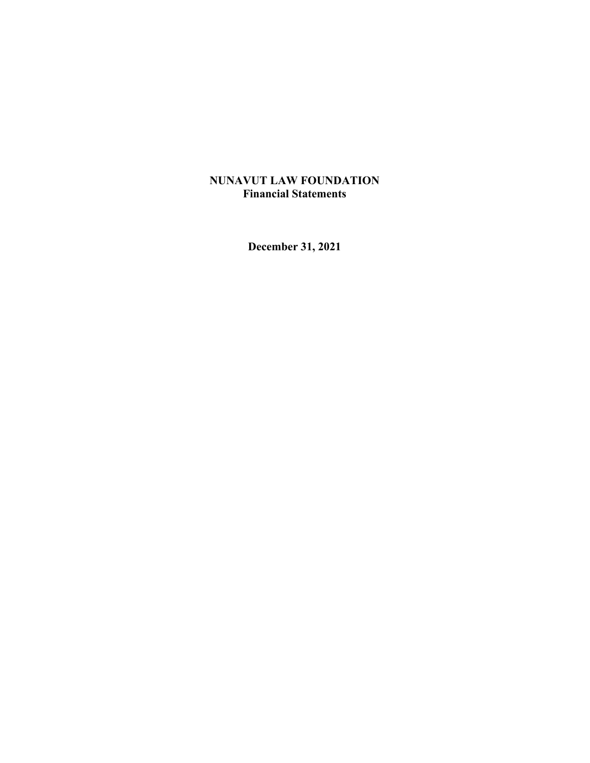## **NUNAVUT LAW FOUNDATION Financial Statements**

**December 31, 2021**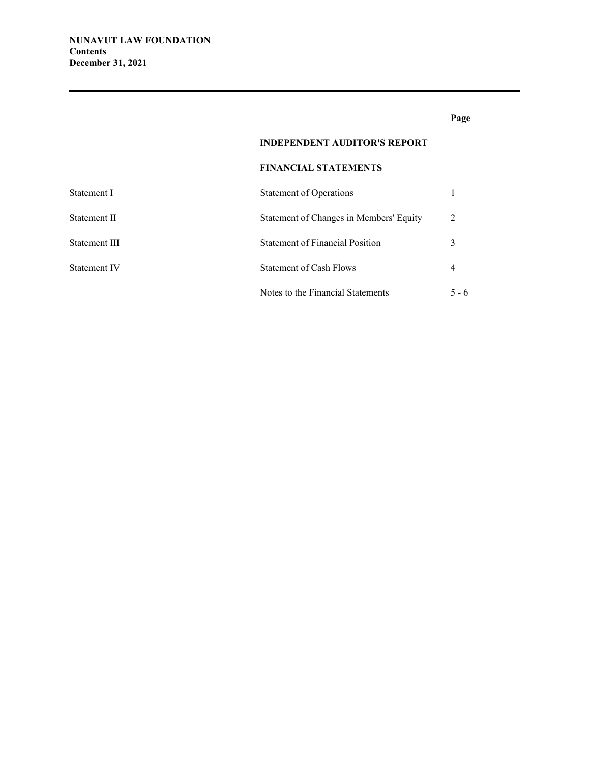## **Page**

## **INDEPENDENT AUDITOR'S REPORT**

### **FINANCIAL STATEMENTS**

| Statement I         | <b>Statement of Operations</b>          |                |
|---------------------|-----------------------------------------|----------------|
| Statement II        | Statement of Changes in Members' Equity | $\mathfrak{D}$ |
| Statement III       | <b>Statement of Financial Position</b>  |                |
| <b>Statement IV</b> | Statement of Cash Flows                 |                |
|                     | Notes to the Financial Statements       | $5 - 6$        |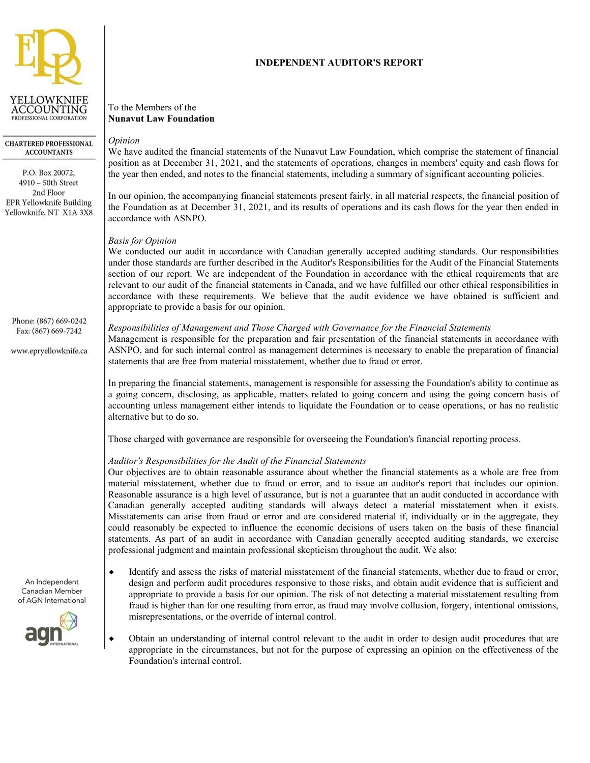

**CHARTERED PROFESSIONAL ACCOUNTANTS** 

P.O. Box 20072, 4910 - 50th Street 2nd Floor EPR Yellowknife Building Yellowknife, NT X1A 3X8

Phone: (867) 669-0242 Fax: (867) 669-7242

www.epryellowknife.ca

**INDEPENDENT AUDITOR'S REPORT**

To the Members of the **Nunavut Law Foundation**

## *Opinion*

We have audited the financial statements of the Nunavut Law Foundation, which comprise the statement of financial position as at December 31, 2021, and the statements of operations, changes in members' equity and cash flows for the year then ended, and notes to the financial statements, including a summary of significant accounting policies.

In our opinion, the accompanying financial statements present fairly, in all material respects, the financial position of the Foundation as at December 31, 2021, and its results of operations and its cash flows for the year then ended in accordance with ASNPO.

### *Basis for Opinion*

We conducted our audit in accordance with Canadian generally accepted auditing standards. Our responsibilities under those standards are further described in the Auditor's Responsibilities for the Audit of the Financial Statements section of our report. We are independent of the Foundation in accordance with the ethical requirements that are relevant to our audit of the financial statements in Canada, and we have fulfilled our other ethical responsibilities in accordance with these requirements. We believe that the audit evidence we have obtained is sufficient and appropriate to provide a basis for our opinion.

### *Responsibilities of Management and Those Charged with Governance for the Financial Statements*

Management is responsible for the preparation and fair presentation of the financial statements in accordance with ASNPO, and for such internal control as management determines is necessary to enable the preparation of financial statements that are free from material misstatement, whether due to fraud or error.

In preparing the financial statements, management is responsible for assessing the Foundation's ability to continue as a going concern, disclosing, as applicable, matters related to going concern and using the going concern basis of accounting unless management either intends to liquidate the Foundation or to cease operations, or has no realistic alternative but to do so.

Those charged with governance are responsible for overseeing the Foundation's financial reporting process.

## *Auditor's Responsibilities for the Audit of the Financial Statements*

Our objectives are to obtain reasonable assurance about whether the financial statements as a whole are free from material misstatement, whether due to fraud or error, and to issue an auditor's report that includes our opinion. Reasonable assurance is a high level of assurance, but is not a guarantee that an audit conducted in accordance with Canadian generally accepted auditing standards will always detect a material misstatement when it exists. Misstatements can arise from fraud or error and are considered material if, individually or in the aggregate, they could reasonably be expected to influence the economic decisions of users taken on the basis of these financial statements. As part of an audit in accordance with Canadian generally accepted auditing standards, we exercise professional judgment and maintain professional skepticism throughout the audit. We also:

- Identify and assess the risks of material misstatement of the financial statements, whether due to fraud or error, design and perform audit procedures responsive to those risks, and obtain audit evidence that is sufficient and appropriate to provide a basis for our opinion. The risk of not detecting a material misstatement resulting from fraud is higher than for one resulting from error, as fraud may involve collusion, forgery, intentional omissions, misrepresentations, or the override of internal control.
	- Obtain an understanding of internal control relevant to the audit in order to design audit procedures that are appropriate in the circumstances, but not for the purpose of expressing an opinion on the effectiveness of the Foundation's internal control.

An Independent Canadian Member of AGN International

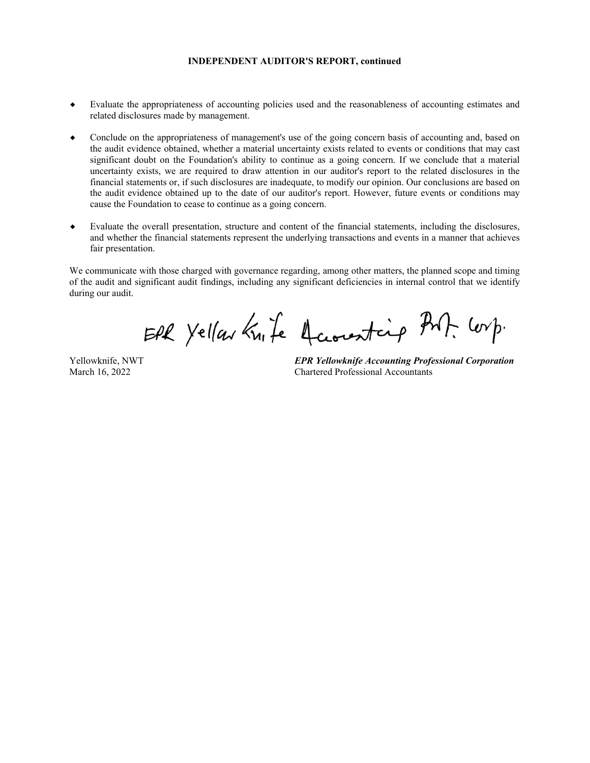#### **INDEPENDENT AUDITOR'S REPORT, continued**

- Evaluate the appropriateness of accounting policies used and the reasonableness of accounting estimates and related disclosures made by management.
- Conclude on the appropriateness of management's use of the going concern basis of accounting and, based on the audit evidence obtained, whether a material uncertainty exists related to events or conditions that may cast significant doubt on the Foundation's ability to continue as a going concern. If we conclude that a material uncertainty exists, we are required to draw attention in our auditor's report to the related disclosures in the financial statements or, if such disclosures are inadequate, to modify our opinion. Our conclusions are based on the audit evidence obtained up to the date of our auditor's report. However, future events or conditions may cause the Foundation to cease to continue as a going concern.
- Evaluate the overall presentation, structure and content of the financial statements, including the disclosures, and whether the financial statements represent the underlying transactions and events in a manner that achieves fair presentation.

We communicate with those charged with governance regarding, among other matters, the planned scope and timing of the audit and significant audit findings, including any significant deficiencies in internal control that we identify during our audit.

EPR Yellow Knife Accounting PMF. Corp.

Yellowknife, NWT March 16, 2022

*EPR Yellowknife Accounting Professional Corporation* Chartered Professional Accountants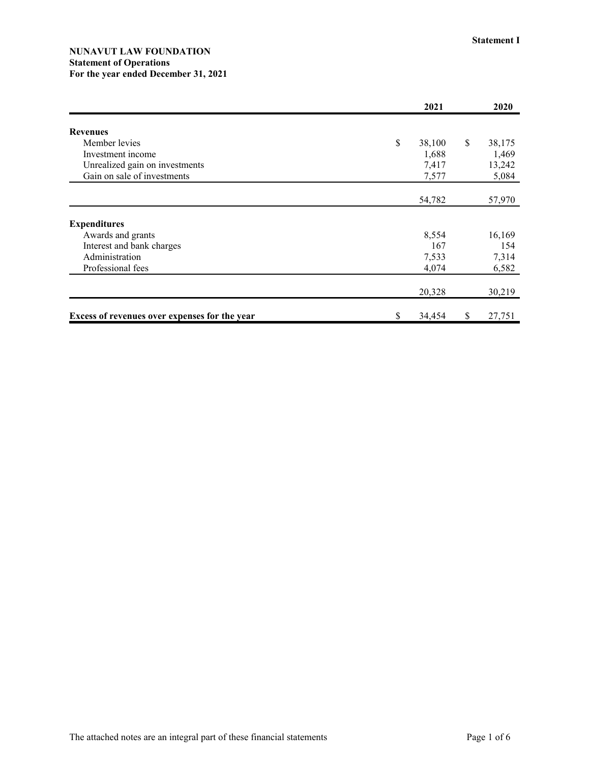### **NUNAVUT LAW FOUNDATION Statement of Operations For the year ended December 31, 2021**

|                                               | 2021         |               | 2020   |
|-----------------------------------------------|--------------|---------------|--------|
| <b>Revenues</b>                               |              |               |        |
| Member levies                                 | \$<br>38,100 | <sup>\$</sup> | 38,175 |
| Investment income                             | 1,688        |               | 1,469  |
| Unrealized gain on investments                | 7,417        |               | 13,242 |
| Gain on sale of investments                   | 7,577        |               | 5,084  |
|                                               |              |               |        |
|                                               | 54,782       |               | 57,970 |
|                                               |              |               |        |
| <b>Expenditures</b>                           |              |               |        |
| Awards and grants                             | 8,554        |               | 16,169 |
| Interest and bank charges                     | 167          |               | 154    |
| Administration                                | 7,533        |               | 7,314  |
| Professional fees                             | 4,074        |               | 6,582  |
|                                               |              |               |        |
|                                               | 20,328       |               | 30,219 |
| Excess of revenues over expenses for the year | \$<br>34,454 | \$            | 27,751 |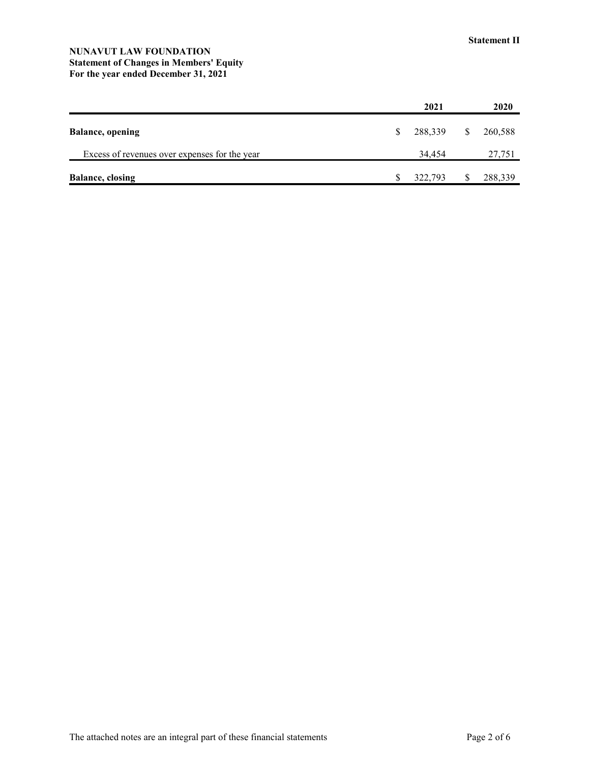### **NUNAVUT LAW FOUNDATION Statement of Changes in Members' Equity For the year ended December 31, 2021**

|                                               |    | 2021    |    | 2020    |
|-----------------------------------------------|----|---------|----|---------|
| <b>Balance</b> , opening                      | S. | 288,339 | S. | 260,588 |
| Excess of revenues over expenses for the year |    | 34,454  |    | 27,751  |
| <b>Balance, closing</b>                       |    | 322,793 |    | 288,339 |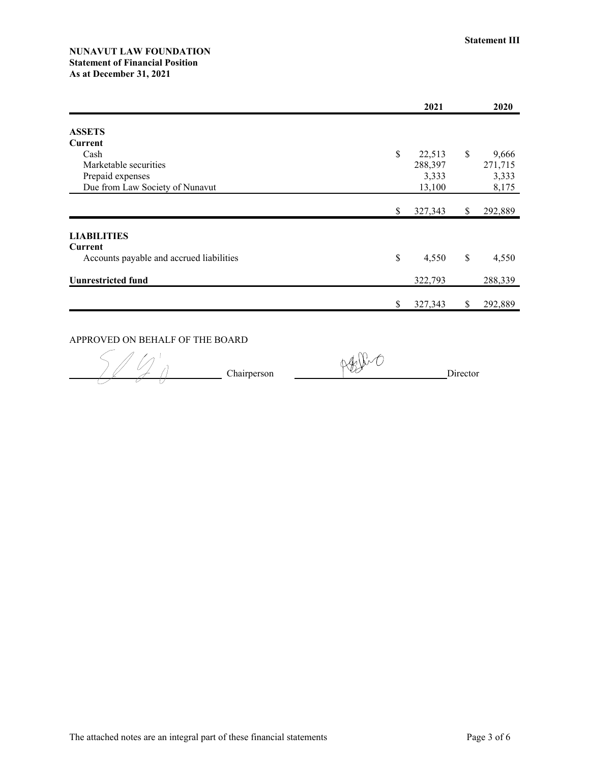### **NUNAVUT LAW FOUNDATION Statement of Financial Position** As at December 31, 2021

|                                          | 2021          | 2020          |
|------------------------------------------|---------------|---------------|
| <b>ASSETS</b>                            |               |               |
| Current                                  |               |               |
| Cash                                     | \$<br>22,513  | \$<br>9,666   |
| Marketable securities                    | 288,397       | 271,715       |
| Prepaid expenses                         | 3,333         | 3,333         |
| Due from Law Society of Nunavut          | 13,100        | 8,175         |
|                                          | \$<br>327,343 | \$<br>292,889 |
| <b>LIABILITIES</b>                       |               |               |
| Current                                  |               |               |
| Accounts payable and accrued liabilities | \$<br>4,550   | \$<br>4,550   |
| <b>Uunrestricted fund</b>                | 322,793       | 288,339       |
|                                          | \$<br>327,343 | \$<br>292,889 |

# APPROVED ON BEHALF OF THE BOARD

 $\frac{1}{\sqrt{2}}$  Chairperson

Affent

Director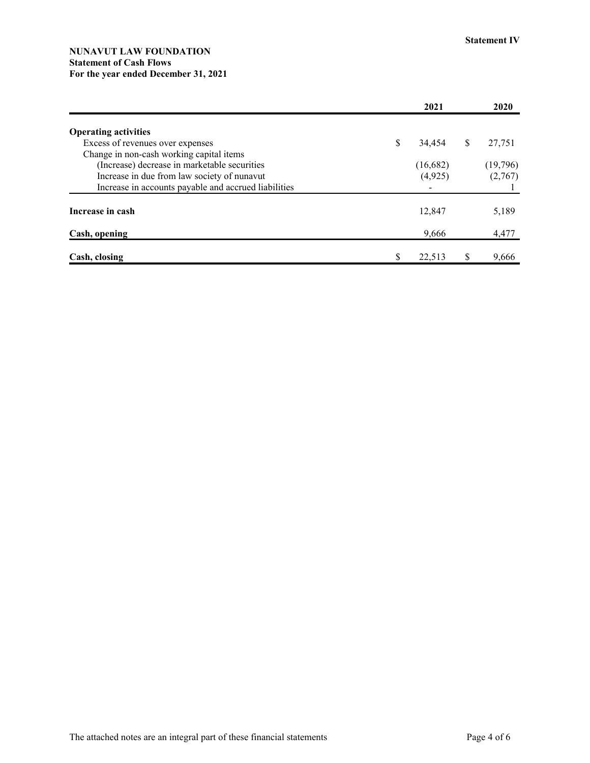### **NUNAVUT LAW FOUNDATION Statement of Cash Flows For the year ended December 31, 2021**

|                                                      |    | 2021     |              | 2020     |
|------------------------------------------------------|----|----------|--------------|----------|
| <b>Operating activities</b>                          |    |          |              |          |
| Excess of revenues over expenses                     | \$ | 34,454   | <sup>S</sup> | 27,751   |
| Change in non-cash working capital items             |    |          |              |          |
| (Increase) decrease in marketable securities         |    | (16,682) |              | (19,796) |
| Increase in due from law society of nunavut          |    | (4,925)  |              | (2,767)  |
| Increase in accounts payable and accrued liabilities |    |          |              |          |
| Increase in cash                                     |    | 12,847   |              | 5,189    |
| Cash, opening                                        |    | 9,666    |              | 4,477    |
| Cash, closing                                        | S  | 22,513   | S            | 9,666    |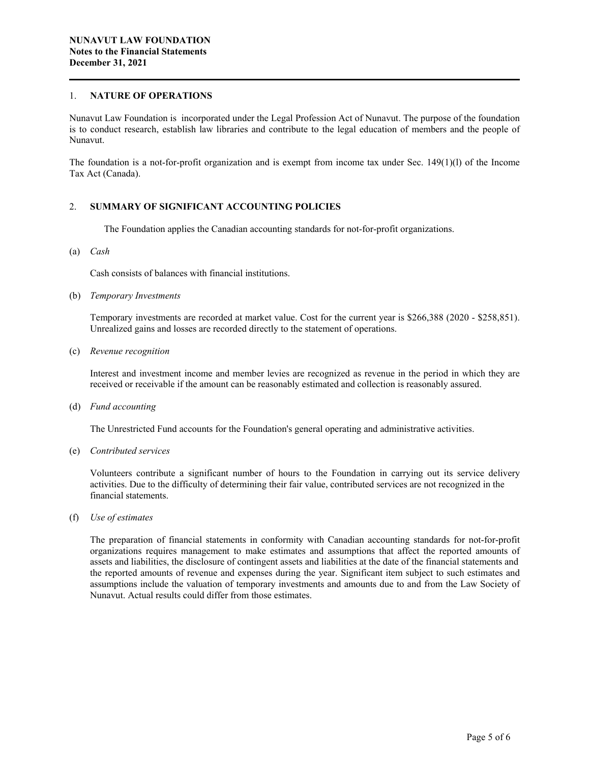#### 1. **NATURE OF OPERATIONS**

Nunavut Law Foundation is incorporated under the Legal Profession Act of Nunavut. The purpose of the foundation is to conduct research, establish law libraries and contribute to the legal education of members and the people of Nunavut.

The foundation is a not-for-profit organization and is exempt from income tax under Sec.  $149(1)(l)$  of the Income Tax Act (Canada).

#### 2. **SUMMARY OF SIGNIFICANT ACCOUNTING POLICIES**

The Foundation applies the Canadian accounting standards for not-for-profit organizations.

(a) *Cash*

Cash consists of balances with financial institutions.

(b) *Temporary Investments*

Temporary investments are recorded at market value. Cost for the current year is \$266,388 (2020 - \$258,851). Unrealized gains and losses are recorded directly to the statement of operations.

(c) *Revenue recognition*

Interest and investment income and member levies are recognized as revenue in the period in which they are received or receivable if the amount can be reasonably estimated and collection is reasonably assured.

(d) *Fund accounting*

The Unrestricted Fund accounts for the Foundation's general operating and administrative activities.

(e) *Contributed services*

Volunteers contribute a significant number of hours to the Foundation in carrying out its service delivery activities. Due to the difficulty of determining their fair value, contributed services are not recognized in the financial statements.

(f) *Use of estimates*

The preparation of financial statements in conformity with Canadian accounting standards for not-for-profit organizations requires management to make estimates and assumptions that affect the reported amounts of assets and liabilities, the disclosure of contingent assets and liabilities at the date of the financial statements and the reported amounts of revenue and expenses during the year. Significant item subject to such estimates and assumptions include the valuation of temporary investments and amounts due to and from the Law Society of Nunavut. Actual results could differ from those estimates.